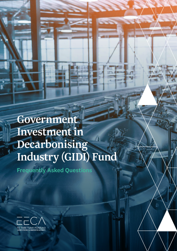Government Investment in Decarbonising Industry (GIDI) Fund

Frequently Asked Questions

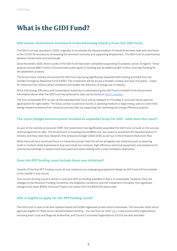# **What is the GIDI Fund?**

## GIDI means: Government Investment in Decarbonising Industry Fund (the GIDI Fund).

The GIDI Fund was launched in 2020, originally, to accelerate the decarbonisation of industrial process heat and contribute to the COVID-19 recovery by stimulating the domestic economy and supporting employment. The GIDI Fund is a partnership between Government and businesses.

Since November 2020, three rounds of the GIDI Fund have been completed supporting 53 projects, across 12 regions. These projects include \$68.7 million of Government public good co-funding and an additional \$117 million of private funding for the abatement projects.

The Government recently announced the GIDI Fund was being significantly expanded with funding provided from the Climate Emergency Response Fund (CERF). The investment will be across a broader number and type of projects – solely for measures that reduce carbon emissions and enable the reduction of energy use in industry.

EECA (the Energy Efficiency and Conservation Authority) is administering the GIDI Fund on behalf of the Government. Information about what the GIDI Fund has achieved to date can be found on [EECA's website](https://www.eeca.govt.nz/co-funding/industry-decarbonisation/approved-gidi-projects/).

The first contestable RFP, as part of the expanded GIDI Fund, will be released on Thursday 9 June and will be open for applications for eight weeks. The focus, similar to previous rounds, is assisting medium to large energy users to lower their energy-related emissions from industrial process heat, by supporting fuel switching and energy efficiency projects.

## The recent Budget announcement included an expanded scope for GIDI - what does this mean?

As part of the recently announced CERF, the Government has significantly expanded the GIDI Fund, to build on the success of the programme to date. The Government is investing around \$650 over four years to accelerate the decarbonisation of industry and help meet New Zealand's first emissions budget (2022-2035) as set out in the Emissions Reduction Plan.

While there will be a continued focus on industrial process heat this will be alongside new initiatives such as assisting small to medium-sized businesses to buy and install low emission, high-efficiency electrical equipment; and assistance for commercial buildings to replace fossil fuel space and water heating with a lower-emissions alternative.

## Does this RFP funding round include these new initiatives?

Outside of this first RFP funding round, all new initiatives are undergoing programme design by EECA and will be available to the market in due course.

This current funding round is similar to previous GIDI co-funding available in that it is contestable. However, there are changes to the Minimum Funding Conditions, the Eligibility Conditions, and the Investment Principles. One significant change is the lower \$300k minimum Project size (down from the \$500,000 previously).

## Who is eligible to apply for this RFP funding round?

The GIDI Fund is open to all New Zealand-based and NZBN registered private sector businesses. This excludes State sector agencies eligible for State sector decarbonisation funding - you can find out more [here.](https://www.eeca.govt.nz/co-funding/public-sector-decarbonisation/state-sector-decarbonisation-fund/) Local Government organisations including both Local and Regional Authorities; and Council Controlled Organisations (CCO's) are also excluded.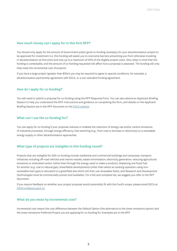#### How much money can I apply for in this first RFP?

You should only apply for the amount of Government public good co-funding necessary for your decarbonisation project to be approved for investment (i.e. this funding will assist you to overcome barriers preventing you from otherwise investing in decarbonisation at this time) and only up to a maximum of 50% of the eligible project costs. Also, keep in mind that the funding is contestable, and the amount of co-funding requested will affect how a proposal is assessed. The funding will only help meet the incremental cost of projects.

If you have a large project (greater than \$10m) you may be required to agree to special conditions, for example, a decarbonisation partnership agreement with EECA, or a non-standard funding agreement.

#### How do I apply for co-funding?

You will need to submit a proposal for co-funding using the RFP Response Form. You can also attend an Applicant Briefing Session to help you understand the RFP. Instructions and guidance on completing the form, and details on the Applicant Briefing Session are in the RFP document on the [EECA website.](https://www.eeca.govt.nz/apply-for-gidi-co-funding)

#### What can I use the co-funding for?

You can apply for co-funding if your proposal reduces or enables the reduction of energy use and/or carbon emissions of industrial processes, through energy efficiency, fuel switching (e.g., from coal to biomass or electricity) to a renewable energy supply or other decarbonisation approaches.

## What type of projects are ineligible in this funding round?

Projects that are ineligible for GIDI co-funding include residential and commercial buildings and campuses; transport initiatives including off-road vehicles and marine vessels; waste minimisation; electricity generation; reducing agricultural emissions or embodied carbon (other than through the energy used to make a product); displacing one fossil fuel for another (e.g. coal to natural gas); Greenfields developments (other than where an existing operation using nonrenewable fuel types is relocated to a greenfield site which will then use renewable fuels); and Research and Development (technologies must be commercially proven and available). For a full and complete list, we suggest you refer to the RFP document.

If you require feedback on whether your project proposal would potentially fit with the Fund's scope, please email EECA at [GIDIFund@eeca.govt.nz](mailto:GIDIFund@eeca.govt.nz).

#### What do you mean by incremental cost?

Incremental cost means the cost difference between the Default Option (the alternative to the lower-emissions option) and the lower-emissions Preferred Project you are applying for co-funding for. Examples are in the RFP.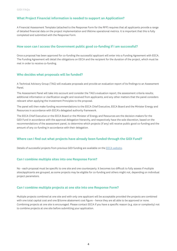## What Project Financial information is needed to support an Application?

A Financial Assessment Template (attached to the Response Form for the RFP) requires that all applicants provide a range of detailed financial data on the project implementation and lifetime operational metrics. It is important that this is fully completed and submitted with the Response Form.

#### How soon can I access the Government public good co-funding if I am successful?

Once a proposal has been approved for co-funding the successful applicant will enter into a Funding Agreement with EECA. The Funding Agreement will detail the obligations on EECA and the recipient for the duration of the project, which must be met in order to receive co-funding.

#### Who decides what proposals will be funded?

A Technical Advisory Group (TAG) will evaluate proposals and provide an evaluation report of its findings to an Assessment Panel.

The Assessment Panel will take into account and consider the TAG's evaluation report; the assessment criteria results; additional information or clarification sought and received from applicants; and any other matters that the panel considers relevant when applying the Investment Principles to the proposal.

The panel will then make funding recommendations to the EECA Chief Executive, EECA Board and the Minister Energy and Resources in accordance with EECA's delegated authority framework.

The EECA Chief Executive or the EECA Board or the Minister of Energy and Resources are the decision-makers for the GIDI Fund in accordance with the approval delegation hierarchy, and respectively have the sole discretion, based on the recommendations of the assessment panel, to determine which projects (if any) will receive public good co-funding and the amount of any co-funding in accordance with their delegation.

## Where can I find out what projects have already been funded through the GIDI Fund?

Details of successful projects from previous GIDI funding are available on the [EECA website](https://www.eeca.govt.nz/co-funding/industry-decarbonisation/approved-gidi-projects/).

## Can I combine multiple sites into one Response Form?

No - each proposal must be specific to one site and one counterparty. It becomes too difficult to fully assess if multiple sites/applicants are grouped, as some projects may be eligible for co-funding and others might not, depending on individual project parameters.

### Can I combine multiple projects at one site into one Response Form?

Multiple projects combined at one site and with only one applicant will be acceptable provided the projects are combined with one total capital cost and one \$/tonne abatement cost figure – hence they are all able to be approved or none. Combining projects at one site is encouraged. Please contact EECA if you have a specific reason (e.g. size or complexity) not to combine projects at one site before submitting your application.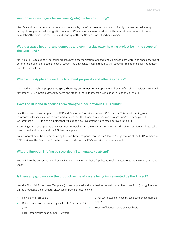## Are conversions to geothermal energy eligible for co-funding?

New Zealand regards geothermal energy as renewable, therefore projects planning to directly use geothermal energy can apply. As geothermal energy still has some CO2-e emissions associated with it these must be accounted for when calculating the emissions reduction and consequently the \$/tonne cost of carbon savings.

# Would a space heating, and domestic and commercial water heating project be in the scope of the GIDI Fund?

No - this RFP is to support industrial process heat decarbonisation. Consequently, domestic hot water and space heating of commercial building projects are out of scope. The only space heating that is within scope for this round is for hot houses used for horticulture.

#### When is the Applicant deadline to submit proposals and other key dates?

The deadline to submit proposals is 5pm, Thursday 04 August 2022. Applicants will be notified of the decisions from mid-November 2022 onwards. Other key dates and steps in the RFP process are included in Section 2 of the RFP.

## Have the RFP and Response Form changed since previous GIDI rounds?

Yes, there have been changes to the RFP and Response Form since previous GIDI rounds. This latest funding round incorporates lessons learned to date, and reflects that this funding was received through Budget 2022 as part of Government's CERF. It is this funding that will support co-investment in projects approved in this RFP.

Accordingly, we have updated the Investment Principles, and the Minimum Funding and Eligibility Conditions. Please take time to read and understand the RFP before applying.

Your proposal must be submitted using the web-based response form in the 'How to Apply' section of the EECA website. A PDF version of the Response Form has been provided on the EECA website for reference only.

#### Will the Supplier Briefing be recorded if I am unable to attend?

Yes. A link to the presentation will be available on the EECA website (Applicant Briefing Session) at 11am, Monday 20 June 2022.

#### Is there any guidance on the productive life of assets being implemented by the Project?

Yes, the Financial Assessment Template (to be completed and attached to the web-based Response Form) has guidelines on the productive life of assets. EECA assumptions are as follows:

- New boilers 25 years
- Boiler conversions remaining useful life (maximum 25 years)
- High-temperature heat pumps 20 years
- Other technologies case by case basis (maximum 25 years)
- Energy efficiency case by case basis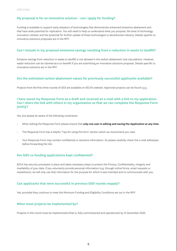# My proposal is for an innovative solution – can I apply for funding?

Funding is available to support early adopters of technologies that demonstrate enhanced emissions abatement and that have wide potential for replication. You will need to help us understand what you propose, the level of technology innovation utilised, and the potential for further uptake of these technologies to decarbonise industry. Details specific to innovative solutions proposals are in the RFP.

#### Can I include in my proposal emissions savings resulting from a reduction in waste to landfill?

Emission savings from reduction in waste to landfill is not allowed in the carbon abatement cost calculations. However, waste reduction can be claimed as a co-benefit if you are submitting an innovative solutions proposal. Details specific to innovative solutions are in the RFP.

#### Are the estimated carbon abatement values for previously successful applicants available?

Projects from the first three rounds of GIDI are available on EECA's website. Approved projects can be found [here](https://www.eeca.govt.nz/co-funding/industry-decarbonisation/approved-gidi-projects/).

# I have saved my Response Form as a draft and received an e-mail with a link to my application. Can I share the link with others in my organisation so that we can complete the Response Form iointly?

Yes, but please be aware of the following constraints:

- When editing the Response Form please ensure that only one user is editing and saving the Application at any time.
- The Response Form has a helpful 'Tips for using this form' section which we recommend you read.
- Your Response Form may contain confidential or sensitive information. So please carefully check the e-mail addresses before forwarding the link.

## Are GIDI co-funding applications kept confidential?

EECA has security processes in place and takes necessary steps to protect the Privacy, Confidentiality, Integrity and Availability of your data. If you voluntarily provide personal information (e.g. through online forms, email requests or newsletters), we will only use that information for the purpose for which it was intended and to communicate with you.

#### Can applicants that were successful in previous GIDI rounds reapply?

Yes, provided they continue to meet the Minimum Funding and Eligibility Conditions set out in the RFP.

#### When must projects be implemented by?

Projects in this round must be implemented (that is, fully commissioned and operational) by 31 December 2025.